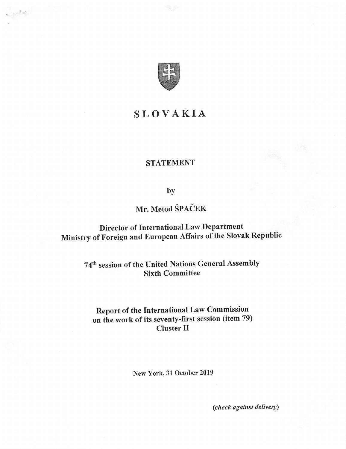

## SLOVAKIA

### STATEMENT

by

# Mr. Metod SPACER

Director of International Law Department Ministry of Foreign and European Affairs of the Slovak Republic

> 74<sup>th</sup> session of the United Nations General Assembly Sixth Committee

## Report of the International Law Commission on the work of its seventy-first session (item 79) Cluster II

New York, 31 October 2019

(check against delivery)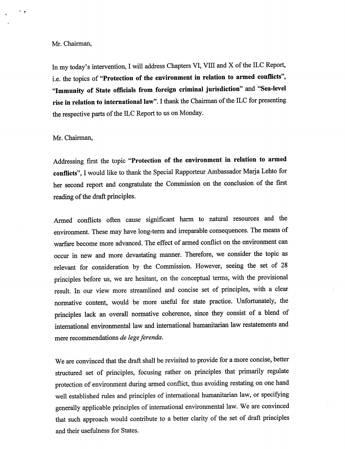### Mr. Chairman,

 $\ddot{\phantom{0}}$ 

In my today's intervention, I will address Chapters VI, VIII and X of the ILC Report, i.e. the topics of "Protection of the environment in relation to armed conflicts", "Immunity of State officials from foreign criminal jurisdiction" and "Sea-level rise in relation to international law". I thank the Chairman of the ILC for presenting the respective parts of the ILC Report to us on Monday.

### Mr. Chairman,

Addressing first the topic "Protection of the environment in relation to armed conflicts", I would like to thank the Special Rapporteur Ambassador Marja Lehto for her second report and congratulate the Commission on the conclusion of the first reading of the draft principles.

Armed conflicts often cause significant harm to natural resources and the environment. These may have long-term and irreparable consequences. The means of warfare become more advanced. The effect of armed conflict on the environment can occur in new and more devastating manner. Therefore, we consider the topic as relevant for consideration by the Commission. However, seeing the set of 28 principles before us, we are hesitant, on the conceptual terms, with the provisional result. In our view more streamlined and concise set of principles, with a clear normative content, would be more useful for state practice. Unfortunately, the principles lack an overall normative coherence, since they consist of a blend of international environmental law and international humanitarian law restatements and mere recommendations de lege ferenda.

We are convinced that the draft shall be revisited to provide for a more concise, better structured set of principles, focusing rather on principles that primarily regulate protection of environment during armed conflict, thus avoiding restating on one hand well established rules and principles of international humanitarian law, or specifying generally applicable principles of international environmental law. We are convinced that such approach would contribute to a better clarity of the set of draft principles and their usefulness for States.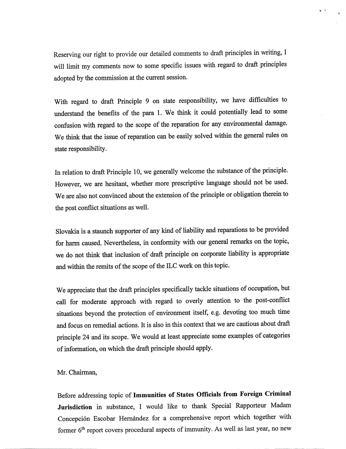Reserving our right to provide our detailed comments to draft principles in writing, I will limit my comments now to some specific issues with regard to draft principles adopted by the commission at the current session.

With regard to draft Principle 9 on state responsibility, we have difficulties to understand the benefits of the para 1. We think it could potentially lead to some conflision with regard to the scope of the reparation for any environmental damage. We think that the issue of reparation can be easily solved within the general rules on state responsibility.

In relation to draft Principle 10, we generally welcome the substance of the principle. However, we are hesitant, whether more prescriptive language should not be used. We are also not convinced about the extension of the principle or obligation therein to the post conflict situations as well.

Slovakia is a staunch supporter of any kind of liability and reparations to be provided for harm caused. Nevertheless, in conformity with our general remarks on the topic, we do not think that inclusion of draft principle on corporate liability is appropriate and within the remits of the scope of the ILC work on this topic.

We appreciate that the draft principles specifically tackle situations of occupation, but call for moderate approach with regard to overly attention to the post-conflict situations beyond the protection of environment itself, e.g. devoting too much time and focus on remedial actions. It is also in this context that we are cautious about draft principle 24 and its scope. We would at least appreciate some examples of categories of information, on which the draft principle should apply.

Mr. Chairman,

Before addressing topic of Immunities of States Officials from Foreign Criminal Jurisdiction in substance, I would like to thank Special Rapporteur Madam Concepción Escobar Hernández for a comprehensive report which together with former 6<sup>th</sup> report covers procedural aspects of immunity. As well as last year, no new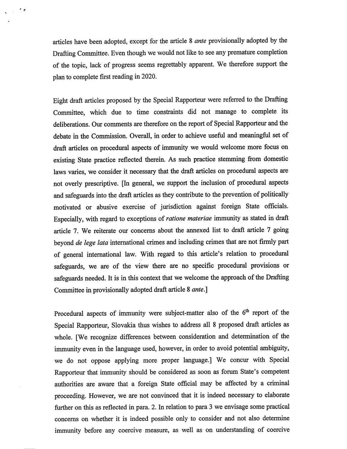articles have been adopted, except for the article 8 ante provisionally adopted by the Drafting Committee. Even though we would not like to see any premature completion of the topic, lack of progress seems regrettably apparent. We therefore support the plan to complete first reading in 2020.

 $\cdot$   $\circ$ 

Eight draft articles proposed by the Special Rapporteur were referred to the Drafting Committee, which due to time constraints did not manage to complete its deliberations. Our comments are therefore on the report of Special Rapporteur and the debate in the Commission. Overall, in order to achieve useful and meaningful set of draft articles on procedural aspects of immunity we would welcome more focus on existing State practice reflected therein. As such practice stemming from domestic laws varies, we consider it necessary that the draft articles on procedural aspects are not overly prescriptive. [In general, we support the inclusion of procedural aspects and safeguards into the draft articles as they contribute to the prevention of politically motivated or abusive exercise of jurisdiction against foreign State officials. Especially, with regard to exceptions of ratione materiae immunity as stated in draft article 7. We reiterate our concerns about the annexed list to draft article 7 going beyond de lege lata international crimes and including crimes that are not firmly part of general international law. With regard to this article's relation to procedural safeguards, we are of the view there are no specific procedural provisions or safeguards needed. It is in this context that we welcome the approach of the Drafting Committee in provisionally adopted draft article 8 *ante*.]

Procedural aspects of immunity were subject-matter also of the  $6<sup>th</sup>$  report of the Special Rapporteur, Slovakia thus wishes to address all 8 proposed draft articles as whole. [We recognize differences between consideration and determination of the immunity even in the language used, however, in order to avoid potential ambiguity, we do not oppose applying more proper language.] We concur with Special Rapporteur that immunity should be considered as soon as forum State's competent authorities are aware that a foreign State official may be affected by a criminal proceeding. However, we are not convinced that it is indeed necessary to elaborate further on this as reflected in para. 2. In relation to para 3 we envisage some practical concems on whether it is indeed possible only to consider and not also determine immunity before any coercive measure, as well as on imderstanding of coercive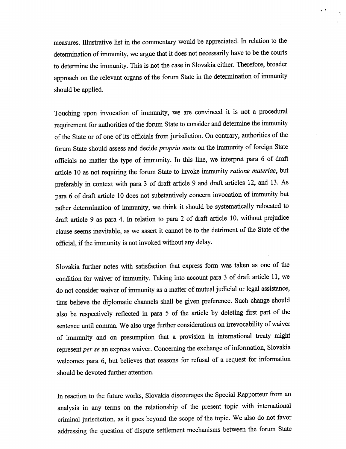measures. Illustrative list in the commentary would be appreciated. In relation to the determination of immunity, we argue that it does not necessarily have to be the courts to determine the immunity. This is not the case in Slovakia either. Therefore, broader approach on the relevant organs of the forum State in the determination of immumty should be applied.

 $\bullet$  .

Touching upon invocation of immunity, we are convinced it is not a procedural requirement for authorities of the forum State to consider and determine the immumty of the State or of one of its officials from jurisdiction. On contrary, authorities of the forum State should assess and decide proprio motu on the immumty of foreign State officials no matter the type of immunity. In this line, we interpret para 6 of draft article 10 as not requiring the forum State to invoke immunity ratione materiae, but preferably in context with para 3 of draft article 9 and draft articles 12, and 13. As para 6 of draft article 10 does not substantively concern invocation of immunity but rather determination of immunity, we think it should be systematically relocated to draft article 9 as para 4. In relation to para 2 of draft article 10, without prejudice clause seems inevitable, as we assert it cannot be to the detriment of the State of the official, if the immunity is not invoked without any delay.

Slovakia further notes with satisfaction that express form was taken as one of the condition for waiver of immunity. Taking into account para 3 of draft article 11, we do not consider waiver of immimity as a matter of mutual judicial or legal assistance, thus believe the diplomatic channels shall be given preference. Such change should also be respectively reflected in para 5 of the article by deleting first part of the sentence until comma. We also urge further considerations on irrevocability of waiver of immunity and on presumption that a provision in international treaty might represent per se an express waiver. Concerning the exchange of information, Slovakia welcomes para 6, but believes that reasons for refusal of a request for information should be devoted further attention.

In reaction to the future works, Slovakia discourages the Special Rapporteur from an analysis in any terms on the relationship of the present topic with international criminal jurisdiction, as it goes beyond the scope of the topic. We also do not favor addressing the question of dispute settlement mechanisms between the forum State